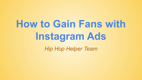# **How to Gain Fans with Instagram Ads** *Hip Hop Helper Team*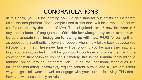#### CONGRATULATIONS

In this deck, you will be learning how we gain fans for our artists on Instagram using the ads platform. The example used in this deck will be a recent IG ad we ran for an artist by the name of Mva. The ad gained him 45 new followers in 5 days and a bunch of engagement. **With this knowledge, any artist or team will be able to scale their Instagram following up with new** *FANS* **following them** as opposed to inauthentic followers or people who simply follow back because you followed them first. These new fans will be following you because they saw and liked your music/content. It will be your job to continue to provide them with the content that they followed you for. Ultimately, this is the formula for building a fanbase online through Instagram Ads. Of course, additional techniques like influencer marketing, giveaways, regular content output, and IG live are useful ways to gain followers as well as engage with your current following. This deck, however, will focus mostly on Ads.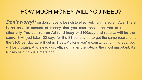#### HOW MUCH MONEY WILL YOU NEED?

*Don't worry!* You don't have to be rich to effectively run Instagram Ads. There is no specific amount of money that you must spend on Ads to run them effectively. **You can run an Ad for \$1/day or \$100/day and results will be the same**, it will just take 100 days for the \$1 per day ad to get the same results that the \$100 per day ad will get in 1 day. As long you're constantly running ads, you will be growing. And steady growth, no matter the rate, is the most important. As Nipsey said, this is a marathon.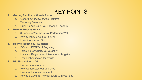# KEY POINTS

#### **1. Getting Familiar with Ads Platform**

- a. General Overview of Ads Platform
- b. Targeting Overview
- c. Running Ads via IG vs. Facebook Platform

#### **2. How to Present Your Ad**

- a. 3 Reasons Your Ad is Not Performing Well
- b. How to Make a Compelling Ad
- c. Lowering your Ad Cost

#### **3. How to Target Your Audience**

- a. DOs and DON'Ts of Targeting
- b. Targeting for Quality vs. Quantity
- c. Local vs. Regional vs. International Targeting
- d. Troubleshooting Ad for results

#### **4. Hip Hop Helper's Ad**

- a. How we made our ad
- b. How we targeted our audience
- c. How much money we spent
- d. How to always get new followers with your ads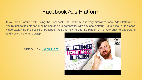#### Facebook Ads Platform

If you aren't familiar with using the Facebook Ads Platform, it is very similar to most Ads Platforms. If you're just getting started running ads and are not familiar with any ads platform. Take a look at this short video explaining the basics of Facebook Ads and how to use the platform. It is very easy to understand and won't take long to grasp.

Video Link: [Click Here](https://www.youtube.com/watch?v=mb0FKPg8Xg0)

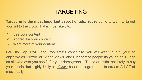#### TARGETING

**Targeting is the most important aspect of ads.** You're going to want to target your ad to the crowd that is most likely to:

- 1. See your content
- 2. Appreciate your content
- 3. Want more of your content

For Hip Hop, R&B, and Pop artists especially, you will want to run your ad objective as "Traffic" or "Video Views" and run them to people as young as 13 and as old whatever you see fit for your demographic. These are kids, not likely to buy your music, but highly likely to *always* be on Instagram and to stream A LOT of music daily.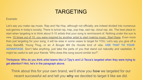### TARGETING

Example:

Let's say you make rap music. Rap and Hip Hop, although not officially, are indeed divided into numerous sub-genres in today's society. There is lyrical rap, trap, pop trap, sad rap, cloud rap, etc. The best place to start when targeting is to think about 5-10 artists that your song is reminiscent of. Nothing under the sun is new. 10 times out of 10, you were inspired by another artist to start making music. Start there. Even more than just targeting for your song, it will be wise in some cases to target for YOU. Let's say you give off a Joey Bada\$\$, Young Thug, or an *A Boogie Wit Da Hoodie* kind of vibe. **USE THAT TO YOUR ADVANTAGE**. Don't fake anything, just take the parts of you that stand out naturally and capitalize. It might be useful to ask your friends "Who does this song sound similar too?".

Thinkpiece: Who do you think artist teams like Lil Tjay's and Lil Tecca's targeted when they were trying to get attention? Hint, he's in the paragraph above.

Think about this for your own brand, we'll show you **how** we targeted for our recent successful ad and tell you **why** we decided to target it like we did.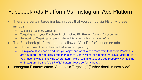#### Facebook Ads Platform Vs. Instagram Ads Platform

- There are certain targeting techniques that you can do via FB only, these include:
	- Lookalike Audience targeting
	- Targeting using your Facebook Pixel (Look up FB Pixel on Youtube for overview)
	- Retargeting (Targeting people who have interacted with your page before)
- The Facebook platform does not allow a "Visit Profile" button on ads
	- This will make it harder to attract ad viewers to your page
	- Thinkpiece: If you see an ad that you enjoy and want to see more from that person/company, are you more likely to click a button that says "Learn More" or a button that says "Visit Profile"? You have no way of knowing where "Learn More" will take you, and you probably want to stay on Instagram. So the "Visit Profile" button always performs better.
- Instagram Platform offers "Automatic Targeting" (further detail in next slide)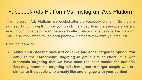#### Facebook Ads Platform Vs. Instagram Ads Platform

The Instagram Ads Platform is modeled after the Facebook platform. So there is no need to go in depth. Once you watch the video from the previous slide and read through this deck, you'll be able to effectively run Ads using either platform. You'll also know when to use each platform in order to maximize your results!

Note the following:

**● Although IG doesn't have a "Lookalike Audience" targeting option. You can use the "Automatic" targeting to get a similar effect. It is with automatic targeting that we have seen the best results for our ads. Basically, automatic targeting tells Instagram to target people who are similar to the people who already like and engage with your content**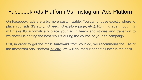#### Facebook Ads Platform Vs. Instagram Ads Platform

On Facebook, ads are a bit more customizable. You can choose exactly where to place your ads (IG story, IG feed, IG explore page, etc.). Running ads through IG will make IG automatically place your ad in feeds and stories and transition to whichever is getting the best results during the course of your ad campaign.

Still, in order to get the most *followers* from your ad, we recommend the use of the Instagram Ads Platform initially. We will go into further detail later in the deck.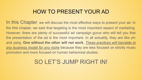### HOW TO PRESENT YOUR AD

In this Chapter, we will discuss the most effective ways to present your ad. In the first chapter, we said that targeting is the most important aspect of marketing. However, there are plenty of successful ad campaign gurus who will tell you that the presentation of the ad is the most important. In all actuality, they are like yin and yang. **One without the other will not work**. *These practices will translate to any business model for any niche* because they are less focused on strictly music promotion and more focused on human behavioral studies.

# SO LET'S JUMP RIGHT IN!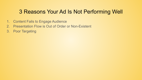### 3 Reasons Your Ad Is Not Performing Well

- 1. Content Fails to Engage Audience
- 2. Presentation Flow is Out of Order or Non-Existent
- 3. Poor Targeting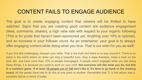#### CONTENT FAILS TO ENGAGE AUDIENCE

The goal is to create engaging content that viewers will be thrilled to have watched. Signs that you are creating good content are audience engagement (likes, comments, shares), a high view rate with respect to your organic following (This is for posts that haven't been sponsored yet. Anything over 10% is optimal), and an increase in your follower count. As an entertainer, your goal is to always offer engaging content while doing what you love. That is our wish for you as well!

If you find this challenging, sharpen your skills. That is the truth and there is no way around it. There is no place in the world where an artist can sing a beautiful tune, drop a dope freestyle, make a beat on the spot, etc. and have more than 10% of people disengaged. If people aren't engaged while you are doing these things, it is because you need to work on your craft. **Not everyone will like what you do, but this is a numbers game**. **If at least** *10 people out of 100* **don't like it, it's time to go back to the drawing board**. All the greats have had to do this at one point or another. Remember that T.I.'s first album was a complete failure in terms of sales.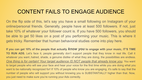#### CONTENT FAILS TO ENGAGE AUDIENCE

On the flip side of this, let's say you have a small following on Instagram of your online/personal friends. Generally, people have at least 500 followers. If not, just take 10% of whatever your follower count is. If you have 500 followers, you should be able to get 50 likes on a post of you performing your music. This is where it gets tricky. Remember that human behavioral studies come into play here.

**If you can get 10% of the people that actually** *know you* **to engage with your music, IT'S TIME TO RUN ADS.** Let's face it, people generally don't support people that they know in real life. Call it whatever you want..hatred, shade, a genuine dislike of what they are doing, the possibilities are endless. *One thing is for certain! Your target audience IS NOT people that already know you*. You want to target people who will see your face and hear your voice for the first time while you are doing what you want to be nationally recognized for! If 10% of people who know you are engaging, it's safe to say that the number of people who will support you without knowing you is SUBSTANTIALLY higher than that. Now, you just need to make sure you're running your Ads correctly.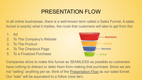#### PRESENTATION FLOW

In all online businesses, there is a well-known term called a Sales Funnel. A sales funnel is exactly what it implies, the route that customers will take to get from the:

1. Ad

- 2. To The Company's Website
- 3. To The Product
- 4. To The Checkout Page
- 5. To a Finalized Purchase



Companies strive to make this funnel as SEAMLESS as possible so customers have nothing to distract or deter them from making that purchase. Since we are not "selling" anything per se, think of the Presentation Flow as our sales funnel. Our "sale" will be equivalent to a follow (new fan).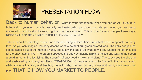

# PRESENTATION FLOW

Back to human behavior. What is your first thought when you see an Ad. If you're a Millennial or younger, there is probably an innate radar you have that tells you when you are being marketed to and to stop listening right at that very moment. This is true for most people these days. **NOBODY LIKES BEING MARKETED TO!** So what do we do?

Take a beautiful parenting couple, for example, trying to feed their 5-month-old child a spoonful of baby food. As you can imagine, the baby doesn't want to eat that dull green colored food. The baby dodges the spoon, slaps it out of the mother's hand, and just won't eat it. So what do we do? Should the parents just let the baby starve? NO. The parents appease the baby by making airplane noises and waving the spoon around in the air like it's flying. The spoonful of baby food is now an airplane! The baby sees the airplane and starts smiling and laughing. Then, STRATEGICALLY, the parents land the "plane" in the baby's mouth while she is still smiling and laughing uncontrollably. Before the baby even realizes it, she's eaten the

food. THAT IS HOW YOU MARKET TO PEOPLE.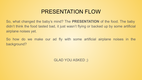#### PRESENTATION FLOW

So, what changed the baby's mind? The **PRESENTATION** of the food. The baby didn't think the food tasted bad, it just wasn't flying or backed up by some artificial airplane noises yet.

So how do we make our ad fly with some artificial airplane noises in the background?

GLAD YOU ASKED ;)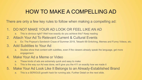# HOW TO MAKE A COMPELLING AD

There are only a few key rules to follow when making a compelling ad:

- 1. DO NOT MAKE YOUR AD LOOK OR FEEL LIKE AN AD
	- a. This is obvious right? Well how exactly do you achieve this? Keep reading
- 2. Attach Your Ad To Relevant Current & Cultural Events
	- a. Ex: The Popeye's Sandwich Craze of Summer 2019, Tekashi 69 Snitching, Memes and Funny Videos, etc.

#### 3. Add Subtitles to Your Ad

a. Studies show that content with subtitles, even if the viewers already speak the language, get more engagement

#### 4. Make Your Ad a Meme or Video

- a. These kinds of ads are extremely quick and easy to make
- b. This is the way our Ad was done, we'll give you the 411 on exactly how we made it
- 5. Make Your Ad Look Like It Belongs to an Already-Established Brand
	- a. This is a SERIOUS growth hack for running ads. Further Detail on the next slide.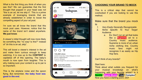What is the first thing you think of when you see this? We can guarantee that the first thought that popped in your head was not "this is an ad, let me skip it". This is a prime example of leveraging brands that are already established in order to boost the compelling aspect of your ad post.

I'm sure we all know the brand that this mock post uses. However, notice that the name of the brand isn't stated anywhere. **We just know**.

A viewer's initial thought will now more likely be something like "no way! Is this?" instead of "oh this is an ad..skip".

This will boost a viewer's interest in the ad and make them curious enough to keep watching. It is now up to the **CONTENT** to capitalize off of this opening. The baby's mouth is now open from laughter. This is why making sure your content is up to par is so important.

This is the airplane noise and the spoon flying. But remember, **the baby food was good in the end**.



#### **CHOOSING YOUR BRAND TO MOCK**:

This is a critical step that cannot be overlooked if you are looking to use this method.

Make sure that the brand you mock is:

- *1. Very Easily Generally Recognizable*
- 2. *Niche Specific To Your Target*  Audience
	- a. Ex: Don't run an ad that looks like a **Supreme** ad to a Country music audience. Supreme is more of an urban niche clothing line. Country music fans might not recognize it as easily as Hip Hop fans.

Can't think of any brands?

#### Start here:

Think about what outlets you frequent for your musical knowledge on what's happening with your favorite artists? Is it **Spotify**? **Apple Music**? **Tidal**? **Complex** ? Now you have a starting point..GO!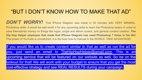#### "BUT I DON'T KNOW HOW TO MAKE THAT AD"

DON'T WORRY! That iPhone Diagram was made in 20 minutes with VERY MINIMAL Photoshop skills. It would be well worth it for any upcoming artist to learn the Photoshop basics in order to save themselves money on things like logos, single and album covers, and general content creation. **The Hip Hop Helper employee that made that iPhone Diagram has used Photoshop 7 times in his life!**  The power of YouTube is unmatched, it is the best how-to manual in the WORLD. TAKE ADVANTAGE!

If you would like us to create content similar to that as well as run the ad for you, just send an email to [TheHipHopHelper@gmail.com.](mailto:TheHipHopHelper@gmail.com) This is an upcoming service that will be featured on our website as well. So be on the lookout for that! We will work with your budget to ensure that you get the most cost-effective strategy and see REAL RESULTS during your campaign.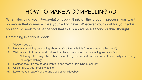# HOW TO MAKE A COMPELLING AD

When deciding your *Presentation Flow,* think of the thought process you want someone that comes across your ad to have. Whatever your goal for your ad is, you should seek to have the fact that this is an ad be a second or third thought.

Something like this is ideal:

- 1. Viewer sees ad
- 2. Notices something compelling about ad ("wait what is this? Let me watch a bit more")
- 3. Watches a bit of the ad and notices that the actual content is compelling and satisfying
	- a. "I thought this might have been something else at first but this content is actually interesting, I'll keep watching"
- 4. Decides they like the ad and wants to see more of this type of content
- 5. Clicks thru to your profile/website
- 6. Looks at your page/website and decides to follow/buy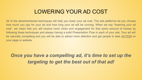#### LOWERING YOUR AD COST

All of the aforementioned techniques will help you lower your ad cost. The ads platforms let you choose how much you pay for your ad and how long your ad will be running. When we say "lowering your ad cost", we mean that you will receive more clicks and engagement for that same amount of money by following these techniques and always having a solid Presentation Flow in each of your ads. Your ad will be naturally compelling and you will be able to attract more attention and get people to take *ACTION* on your page or website.

*Once you have a compelling ad, it's time to set up the targeting to get the best out of that ad!*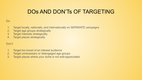### DOs AND DON'Ts OF TARGETING

#### Do:

- 1. Target locally, nationally, and internationally on SEPARATE campaigns
- 2. Target age groups strategically
- 3. Target interests strategically
- 4. Target places strategically

#### Don't:

- 1. Target too broad of an interest audience
- 2. Target unnecessary or disengaged age groups
- 3. Target places where your niche is not well-appreciated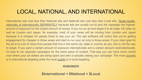### LOCAL, NATIONAL, AND INTERNATIONAL

International ads cost less than National ads and National ads cost less than Local ads. Target locally, nationally, & internationally SEPARATELY because ads are usually run to give the campaign the highest amount of exposure for the lowest amount of money. If you run an ad and target it to all major US cities as well as London and Japan, for example, most of your views will be coming from London and Japan because it is cheaper for people there to see your ad. The ads software will notice that you're getting engagement for cheaper in those areas and start to run your ad only to those areas. If your main goal for the ad is to a lot of views from people that live in the same city, state or country as you, this is not the way to target. If you want a certain amount of exposure internationally and a certain amount nationally/locally, it's best to run separate campaigns for the same piece of content. That way you can have more control over where your ad dollars are being spent and who is actually seeing your campaign. The most quantity is in international targeting while the most quality is in local targeting.

#### **REMEMBER**

**\$International < \$National < \$Local**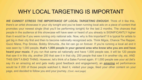#### WHY LOCAL TARGETING IS IMPORTANT

*WE CANNOT STRESS THE IMPORTANCE OF LOCAL TARGETING ENOUGH*. Think of it like this, there's an artist showcase in your city tonight and you've been running local ads on a piece of content that promotes your newest single (that you'll be performing tonight) for the last 2 months. The chances that people in the audience at this showcase will have seen or heard of you already is SIGNIFICANTLY higher than it would be if you were running only national ads. Now, why is this important? It is typical for artists to get big in their city first and then to become nationally recognized acts. Think Migos, Chance The Rapper, Gucci Mane, Pop Smoke, Bobby Shmurda...the list can go on forever. If you're running a local ad and it was seen by 1,000 people, **that's 1,000 people in your general area who know who you are and have heard your music**. If you run that same ad nationally and have 1,000 people see, it will be 120 people that saw it in this city, another 200 that saw it in that city, 250 people that saw it in another city, etc. AND THIS ISN'T A BAD THING. However, let's think of a Sales Funnel again. If 1,000 people see your ad (let's say it's an amazing ad and gets really good feedback and engagement), an *amazing* ad performance would be if 200 of those people watched it, liked it, visited your page, liked your other content on your page, and decided to follow you and your journey. *(Cont. next page)*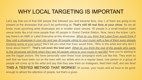### WHY LOCAL TARGETING IS IMPORTANT

Let's say that out of that 200 people that followed you and became fans, only <sup>y</sup> of them are going to be present at the showcase that you'll be performing at. **That's still 40 real fans at your show**. As we all know, most upcoming artist showcases are in smaller sized venues. 40 people in a small-medium sized venue looks like a lot more people than 40 people in Grand Central Station. Now, here's the kicker. Let's say there's an A&R or Label Executive at this showcase. *What do you think that Label Exec would think if they visit a showcase in your city and see 40 people vibing to your music with a few of them even already knowing some of your lyrics?* We'll tell you what that Exec would think, "Who is this artist and why don't I know about them!?". **That's not even the best part**. *What do you think the rest of the people who came to the showcase will think when they see 40 people vibing to your music in real life*? Now you're starting to see the bigger picture. We have personally seen these local campaigns work just like this. They work so well that we have been out on the town with our artists and on a regular basis, one person or a group of people will come up to the artist and say that they saw them on Instagram, liked their stuff, and are fans! **THIS A TESTED METHOD THAT WORKS!** Of course, your music and ad have to be good enough to attract the attention of people, but that's a given.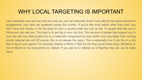### WHY LOCAL TARGETING IS IMPORTANT

Let's backtrack now and say that you only ran your ad nationally. Even if you still got the same amount of engagement, your fans are scattered across the country. If you're like most artists when they start, you don't have the money or the fan-base to fund a country-wide tour just so the 14 people that like you in Wisconsin can see you. The logic is to get big in your city first. The amount of people that support you in your city will very likely propel you to a nationally recognized act way further and way faster than running strictly national ads will (Of course, this is not always the case). This is especially true if you live in a city that is big on your genre. For example, Atlanta is REALLY BIG for Hip Hop music these days. Whatever is hot in Atlanta is hot everywhere by default. If you get hot in Atlanta as a Rap/Hip Hop act, you're outta here!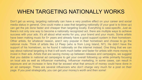#### WHEN TARGETING NATIONALLY WORKS

Don't get us wrong, targeting nationally can have a very positive effect on your career and social media status in general. One could make a case that targeting nationally (if your goal is to blow up) can get the job done faster and cheaper than targeting locally. Everything is case-specific. Just as there's not only one way to become a nationally recognized act, there are multiple ways to achieve success with your ads. It's all about what works for you, your brand and your music. Some artists have been making music for 5+ years and already have a good support system in their hometown. Other artists, for whatever reason, aren't very popular in their hometown and choose to go the national route. Think of artists like Lil Peep (who is from Long Island, NY). He didn't have the support of his hometown, so he found it nationally on the internet instead. One thing that we can say about national targeting is that it will work much better and faster for artists with more money to invest in their ads. Artists that are saving money up between releases and campaigns, we suggest that you dabble in national ad campaigns to get your overall following up while primarily focusing on local ads as well as influencer marketing. Influencer marketing, in some cases, can result in exposure and an increase in fans that far exceed what that amount of money could have done in an ad campaign. There are several influencers who don't charge very much for a post on their page. If you post strategically, you can get your money's worth and then some!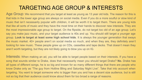# TARGETING AGE GROUP & INTERESTS

Age Group: We recommend that you target at least as young as 13 year old kids. The reason for this is that kids in the lower age group are always on social media. Even if you do a more soulful or slow kind of music that isn't necessarily popular with children, it will be worth it to target them. There are young kids that like all sorts of music and they have the most time on their hands to discover new interests. They are the most impressionable age group to target. On the flipside, do not target too old of an age group. Let's say you make jazz music, and your target audience is 40s and up. You should still target a younger age group. **Look to target at least some high school kids**. It is always the younger generation that sways the music market. 40+ people aren't on social media so much, and when they are, they definitely aren't looking for new music. These people grew up on CDs, cassettes and tape decks. That doesn't mean they aren't worth targeting, but they are not likely going to blow you up on IG.

Interests: When making an ad, you will be able to target people based on their interests. If you have a song that sounds similar to Drake, does that necessarily mean you should target Drake? **No.** Drake has all types of different songs, he is so big and known for so many different things that there are people who know Drake only as "The guy from Hotline Bling and Saturday Night Live". Take that into account when targeting. You want to target someone who is bigger than you and has a decent size audience, but is still not so big that their audience could know about them for too broad a range of reasons.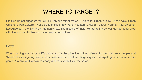#### WHERE TO TARGET?

Hip Hop Helper suggests that all Hip Hop ads target major US cities for Urban culture. These days, Urban Culture is Pop Culture. These cities include New York, Houston, Chicago, Detroit, Atlanta, New Orleans, Los Angeles & the Bay Area, Memphis, etc. The mixture of major city targeting as well as your local area will give you results like you have never seen before!

#### NOTE:

When running ads through FB platform, use the objective "Video Views" for reaching new people and "Reach" for retargeting people who have seen you before. Targeting and Retargeting is the name of the game. Ask any well-known company and they will tell you the same.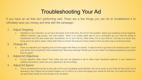### Troubleshooting Your Ad

If you have an ad that isn't performing well. There are a few things you can do to troubleshoot it to ultimately save you money and time with the campaign:

- 1. Adjust Targeting
	- a. Targeting is very important, as we have discussed. A lot of the time, the ad isn't the problem. Adjust your targeting a bit by targeting different interests, age groups, and even places. There is no cookie-cutter way to run a successful ad, you must be willing to troubleshoot and find that sweet spot. Sometimes, it's on your first try. Other times, it's on your third try. The key is to never stop trying and to be able to adapt. Utilize Split Tests to shorten the amount of time it takes to find out which way is working the best.
- 2. Change Ad
	- a. Have you adjusted your targeting time and time again with little to no results. It might be time to go back to the drawing board. Could your ad be more compelling? More entertaining? More eye-catching? Revisit your ad and make it as attention-grabbing as possible, then try again!
- 3. Adjust Ad Objectives
	- a. Is your objective video views? Then make sure your ad objective is set to video views (facebook platform). If your objective is website conversions, make sure your objective is set accordingly.
- 4. Adjust Ad Spend
	- a. This is something that we like to play with a lot! Is your ad getting some attention, but not as much as you'd like for how much you're spending a day? Adjust that ad spend! Maybe cut it in half or by a third and gauge your results for that day. You might find that you can get similar results for a bit cheaper of an ad spend.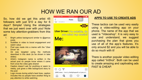# HOW WE RAN OUR AD

So, how did we get this artist 45 followers with just \$10 a day for 6 days? Simple! Using the strategies that we just went over with you! Note some key attention-grabbers from this ad:

- 1. Bright yellow background similar to @genius posts
- 2. Subtitles in video to boost engagement and watch value
- 3. Post was made into a meme with the "Uber Driver" bit
- 4. Ad was targeted using the methods described in this deck (to be shown in later slides)
- 5. Artist's instagram name is written in the actual post so people know where it came from once the video gets shared
- 6. Caption doesn't ask for anything or seem to needy, just gives a little background story to the post
- 7. Logo moves during artist's best lines, caption includes this so people have another thing to pay attention to while watching



you mind rap music?

Me:



#### **APPS TO USE TO CREATE ADS**

These tactics can be used very easily using a video-editing app on your phone. The name of the app that we used is "Videoshop". It is very easy to use and understand, we suggest purchasing the plan that gives you use of all of the app's features. It's only around \$2 and you will be able to do so much with it!

There is another popular video editing app called "InShot". Both can be used to create amazing and captivating ads FAST & CHEAP.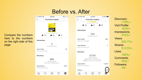# Before vs. After



Discovery: 710%+ Visit Profile: 763%+ Impressions: 616%+ Views: 625.7%+ Shares: 512.5%+ Likes: 185%+ Comments: 53%+ Followers: 45+

Compare the numbers here to the numbers on the right side of this page.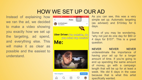# HOW WE SET UP OUR AD

Instead of explaining how we ran the ad, we decided to make a video showing you exactly how we set up the targeting, ad spend, and everything else. This will make it as clear as possible and the easiest to understand.





As you can see, this was a very simple set up. Automatic targeting (as advised) and \$10/day for 6 days.

Some of you may be wondering, "why not just do one day for \$60 or 4 days for \$15?". This is a great question.

**NEVER NEVER NEVER** underestimate the importance of having your ad up for a longer amount of time. If you're going to end up spending the same amount of money, go with a campaign length that will be up for at least a week. We did 6 days in the case because that is what this artist specifically wanted.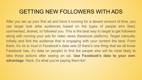#### GETTING NEW FOLLOWERS WITH ADS

After you set up your first ad and have it running for a decent amount of time, you can target look alike audiences based on the types of people who liked, commented, shared, or followed you. This is the best way to target to get followers along with running your ads for video views (facebook platform). Target manually initially and find the audience that is engaging with your content the best. From there, it's ok to trust in Facebook's data sets (If there's one thing that we all know Facebook has, it's data on people) to find the people who will be most likely to take those actions after seeing an ad. **Use Facebook's data to your own advantage**. Heck, it's what you're paying them for!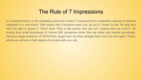#### The Rule of 7 Impressions

It is standard theory in the marketing world that it takes 7 impressions for a potential customer to become interested in a new brand. That means that if someone sees your ad up to 7 times, by the 7th time they won't be able to ignore it. They'll think "Who is this person and why am I seeing them so much?". All brands from small businesses to fortune 500 companies follow this rule today and market accordingly. Find your target audience, *ATTACK* them, target them and then retarget them over and over again. That is where you will see a high degree of success with your ads.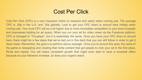#### Cost Per Click

Cost Per Click (CPC) is a very important metric to measure and watch when running ads. The average CPC is .28¢ in the U.S. and .35¢ globally. Look to get your CPC down to around here initially when running ads. Your local CPC will be a bit higher due to more immediate competition in your area of people and businesses bidding for ad space. When you run your ad for video views via the Facebook platform, CPC is changed to "Thruplays", but it is essentially the same. Once you have your CPC down to around here, there might be a few steps that we've laid out in this deck that you can still follow in order to get it down lower. Remember, the goal is to perform above average! Once you're around this area, the name of the game is retargeting and creating that niche content that got people to click your ad in the first place. Rinse and repeat. You will notice consistent growth that might even start to have a snowball effect because as your followers increase, so does your organic reach.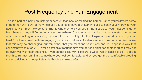#### Post Frequency and Fan Engagement

This is a part of running an Instagram account that most artists find the hardest. Once your followers come in (and they will) it will be very helpful if you already have a system in place to continuously provide your audience with fresh new content. That is why they followed you in the first place, you must continue to feed them, or they will find entertainment elsewhere. Consider your brand and what you stand for as an artist..that should give you enough content to post monthly. Hip Hop Helper advises all artists to post at least 1 picture a week with an engaging caption and at least 1 video a month to run ads on. We realize that this may be challenging, but remember that you must find your niche and do things in a way that consistently works for YOU. While posts this frequent may work for one artist, for another artist it may not go over well with their audience. If you cannot stick with 1 picture a week, we at least advise 1 video a month to run ads on. Start somewhere you feel comfortable, and as you get more comfortable creating content, kick up your output steadily. Practice makes perfect.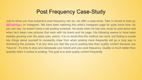#### Post Frequency Case-Study

Just to show you how subjective post frequency can be, we offer a case-study. Take a minute to look up @GoldHippy on Instagram. We have been watching this artist's Instagram page for quite some time. As you can see, he doesn't have a set posting schedule. He posts when he has new music to post about and when he's taken new pictures that work with his brand and his page. His following seems to have been steadily growing over the years (yes, years). It is no doubt that this method can work, but finding a couple key things about yourself to constantly draw from when posting more frequently will go a long way in shortening the process. If at any time you feel like you're posting less than quality content because you "have to", it's time to stop and reevaluate your brand and your post frequency. Quality is much better than quantity when it comes to posting. The goal is to post quality content frequently.